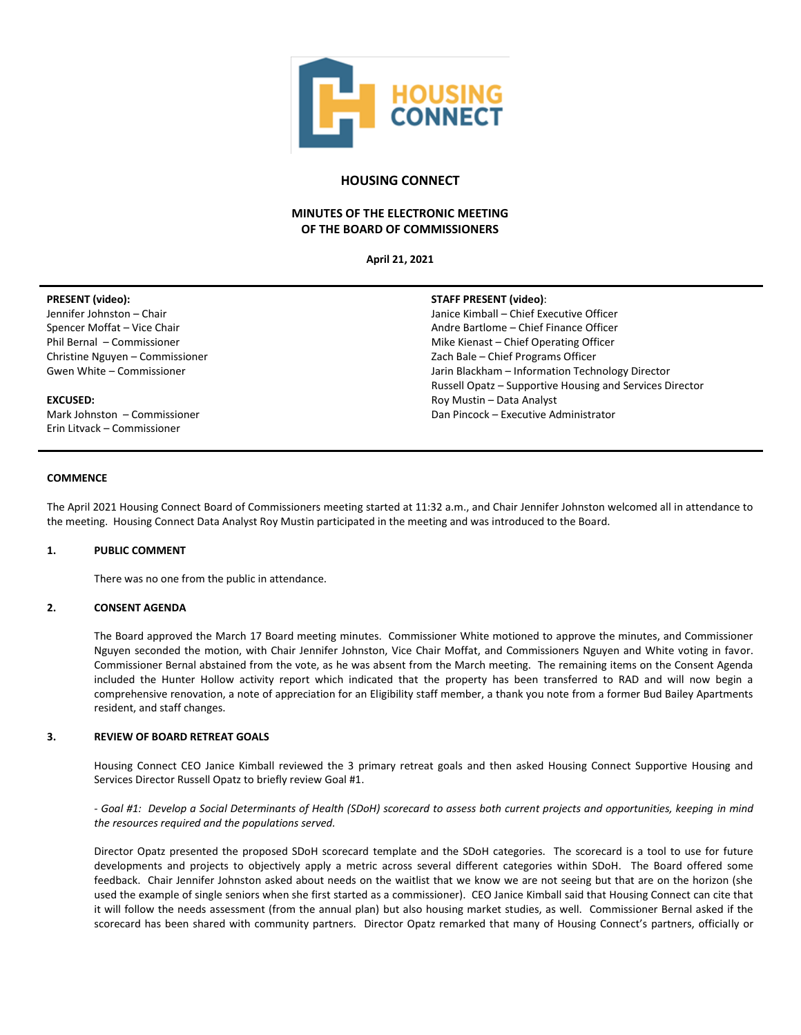

# **HOUSING CONNECT**

# **MINUTES OF THE ELECTRONIC MEETING OF THE BOARD OF COMMISSIONERS**

**April 21, 2021**

# **PRESENT (video):**

Jennifer Johnston – Chair Spencer Moffat – Vice Chair Phil Bernal – Commissioner Christine Nguyen – Commissioner Gwen White – Commissioner

# **EXCUSED:**

Mark Johnston – Commissioner Erin Litvack – Commissioner

# **STAFF PRESENT (video)**:

Janice Kimball – Chief Executive Officer Andre Bartlome – Chief Finance Officer Mike Kienast – Chief Operating Officer Zach Bale – Chief Programs Officer Jarin Blackham – Information Technology Director Russell Opatz – Supportive Housing and Services Director Roy Mustin – Data Analyst Dan Pincock – Executive Administrator

# **COMMENCE**

The April 2021 Housing Connect Board of Commissioners meeting started at 11:32 a.m., and Chair Jennifer Johnston welcomed all in attendance to the meeting. Housing Connect Data Analyst Roy Mustin participated in the meeting and was introduced to the Board.

### **1. PUBLIC COMMENT**

There was no one from the public in attendance.

# **2. CONSENT AGENDA**

The Board approved the March 17 Board meeting minutes. Commissioner White motioned to approve the minutes, and Commissioner Nguyen seconded the motion, with Chair Jennifer Johnston, Vice Chair Moffat, and Commissioners Nguyen and White voting in favor. Commissioner Bernal abstained from the vote, as he was absent from the March meeting. The remaining items on the Consent Agenda included the Hunter Hollow activity report which indicated that the property has been transferred to RAD and will now begin a comprehensive renovation, a note of appreciation for an Eligibility staff member, a thank you note from a former Bud Bailey Apartments resident, and staff changes.

### **3. REVIEW OF BOARD RETREAT GOALS**

Housing Connect CEO Janice Kimball reviewed the 3 primary retreat goals and then asked Housing Connect Supportive Housing and Services Director Russell Opatz to briefly review Goal #1.

*- Goal #1: Develop a Social Determinants of Health (SDoH) scorecard to assess both current projects and opportunities, keeping in mind the resources required and the populations served.*

Director Opatz presented the proposed SDoH scorecard template and the SDoH categories. The scorecard is a tool to use for future developments and projects to objectively apply a metric across several different categories within SDoH. The Board offered some feedback. Chair Jennifer Johnston asked about needs on the waitlist that we know we are not seeing but that are on the horizon (she used the example of single seniors when she first started as a commissioner). CEO Janice Kimball said that Housing Connect can cite that it will follow the needs assessment (from the annual plan) but also housing market studies, as well. Commissioner Bernal asked if the scorecard has been shared with community partners. Director Opatz remarked that many of Housing Connect's partners, officially or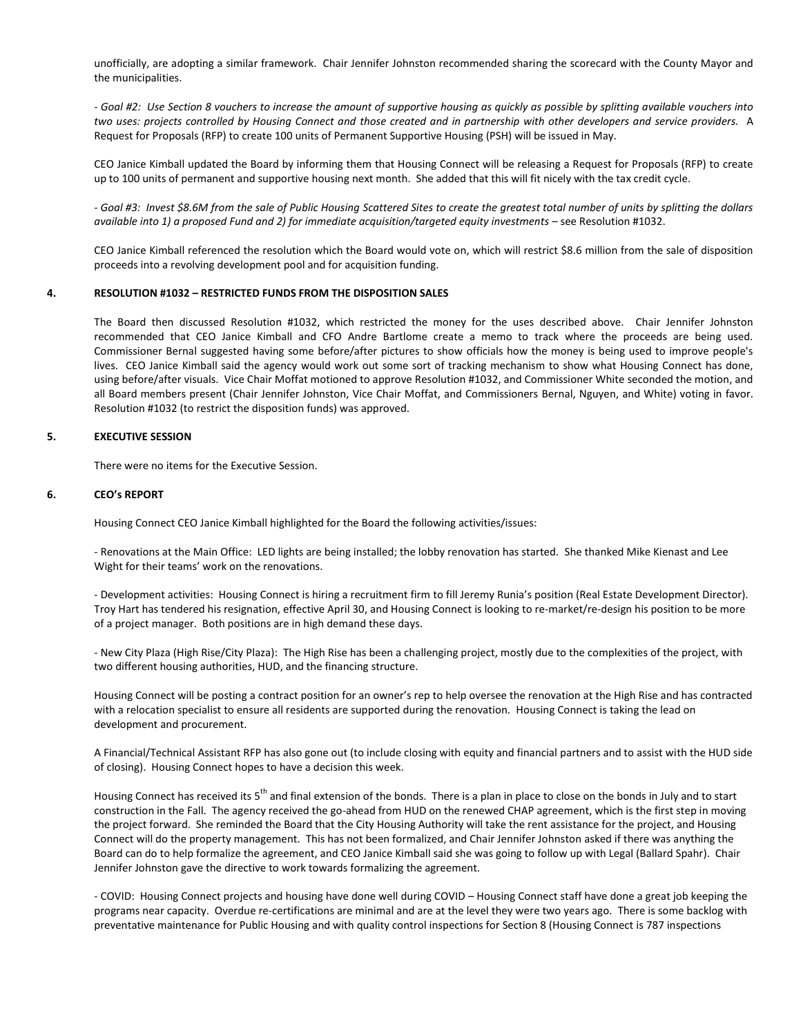unofficially, are adopting a similar framework. Chair Jennifer Johnston recommended sharing the scorecard with the County Mayor and the municipalities.

*- Goal #2: Use Section 8 vouchers to increase the amount of supportive housing as quickly as possible by splitting available vouchers into two uses: projects controlled by Housing Connect and those created and in partnership with other developers and service providers.* A Request for Proposals (RFP) to create 100 units of Permanent Supportive Housing (PSH) will be issued in May.

CEO Janice Kimball updated the Board by informing them that Housing Connect will be releasing a Request for Proposals (RFP) to create up to 100 units of permanent and supportive housing next month. She added that this will fit nicely with the tax credit cycle.

*- Goal #3: Invest \$8.6M from the sale of Public Housing Scattered Sites to create the greatest total number of units by splitting the dollars available into 1) a proposed Fund and 2) for immediate acquisition/targeted equity investments* – see Resolution #1032.

CEO Janice Kimball referenced the resolution which the Board would vote on, which will restrict \$8.6 million from the sale of disposition proceeds into a revolving development pool and for acquisition funding.

#### **4. RESOLUTION #1032 – RESTRICTED FUNDS FROM THE DISPOSITION SALES**

The Board then discussed Resolution #1032, which restricted the money for the uses described above. Chair Jennifer Johnston recommended that CEO Janice Kimball and CFO Andre Bartlome create a memo to track where the proceeds are being used. Commissioner Bernal suggested having some before/after pictures to show officials how the money is being used to improve people's lives. CEO Janice Kimball said the agency would work out some sort of tracking mechanism to show what Housing Connect has done, using before/after visuals. Vice Chair Moffat motioned to approve Resolution #1032, and Commissioner White seconded the motion, and all Board members present (Chair Jennifer Johnston, Vice Chair Moffat, and Commissioners Bernal, Nguyen, and White) voting in favor. Resolution #1032 (to restrict the disposition funds) was approved.

#### **5. EXECUTIVE SESSION**

There were no items for the Executive Session.

### **6. CEO's REPORT**

Housing Connect CEO Janice Kimball highlighted for the Board the following activities/issues:

- Renovations at the Main Office: LED lights are being installed; the lobby renovation has started. She thanked Mike Kienast and Lee Wight for their teams' work on the renovations.

- Development activities: Housing Connect is hiring a recruitment firm to fill Jeremy Runia's position (Real Estate Development Director). Troy Hart has tendered his resignation, effective April 30, and Housing Connect is looking to re-market/re-design his position to be more of a project manager. Both positions are in high demand these days.

- New City Plaza (High Rise/City Plaza): The High Rise has been a challenging project, mostly due to the complexities of the project, with two different housing authorities, HUD, and the financing structure.

Housing Connect will be posting a contract position for an owner's rep to help oversee the renovation at the High Rise and has contracted with a relocation specialist to ensure all residents are supported during the renovation. Housing Connect is taking the lead on development and procurement.

A Financial/Technical Assistant RFP has also gone out (to include closing with equity and financial partners and to assist with the HUD side of closing). Housing Connect hopes to have a decision this week.

Housing Connect has received its 5<sup>th</sup> and final extension of the bonds. There is a plan in place to close on the bonds in July and to start construction in the Fall. The agency received the go-ahead from HUD on the renewed CHAP agreement, which is the first step in moving the project forward. She reminded the Board that the City Housing Authority will take the rent assistance for the project, and Housing Connect will do the property management. This has not been formalized, and Chair Jennifer Johnston asked if there was anything the Board can do to help formalize the agreement, and CEO Janice Kimball said she was going to follow up with Legal (Ballard Spahr). Chair Jennifer Johnston gave the directive to work towards formalizing the agreement.

- COVID: Housing Connect projects and housing have done well during COVID – Housing Connect staff have done a great job keeping the programs near capacity. Overdue re-certifications are minimal and are at the level they were two years ago. There is some backlog with preventative maintenance for Public Housing and with quality control inspections for Section 8 (Housing Connect is 787 inspections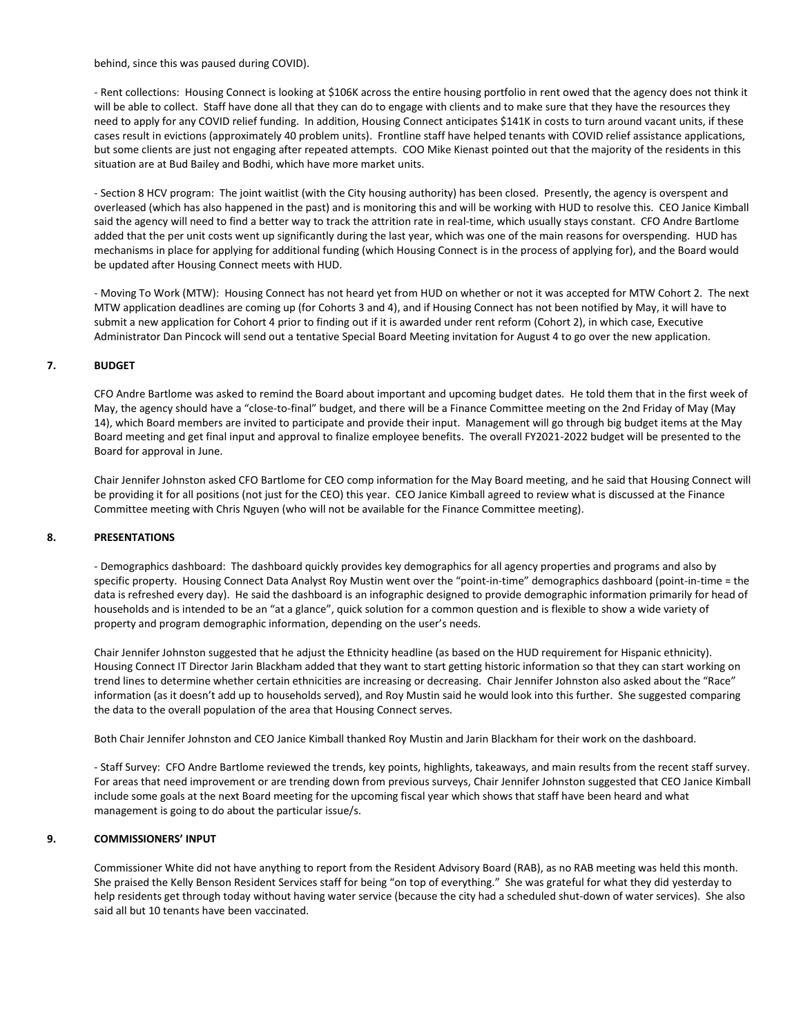behind, since this was paused during COVID).

- Rent collections: Housing Connect is looking at \$106K across the entire housing portfolio in rent owed that the agency does not think it will be able to collect. Staff have done all that they can do to engage with clients and to make sure that they have the resources they need to apply for any COVID relief funding. In addition, Housing Connect anticipates \$141K in costs to turn around vacant units, if these cases result in evictions (approximately 40 problem units). Frontline staff have helped tenants with COVID relief assistance applications, but some clients are just not engaging after repeated attempts. COO Mike Kienast pointed out that the majority of the residents in this situation are at Bud Bailey and Bodhi, which have more market units.

- Section 8 HCV program: The joint waitlist (with the City housing authority) has been closed. Presently, the agency is overspent and overleased (which has also happened in the past) and is monitoring this and will be working with HUD to resolve this. CEO Janice Kimball said the agency will need to find a better way to track the attrition rate in real-time, which usually stays constant. CFO Andre Bartlome added that the per unit costs went up significantly during the last year, which was one of the main reasons for overspending. HUD has mechanisms in place for applying for additional funding (which Housing Connect is in the process of applying for), and the Board would be updated after Housing Connect meets with HUD.

- Moving To Work (MTW): Housing Connect has not heard yet from HUD on whether or not it was accepted for MTW Cohort 2. The next MTW application deadlines are coming up (for Cohorts 3 and 4), and if Housing Connect has not been notified by May, it will have to submit a new application for Cohort 4 prior to finding out if it is awarded under rent reform (Cohort 2), in which case, Executive Administrator Dan Pincock will send out a tentative Special Board Meeting invitation for August 4 to go over the new application.

### **7. BUDGET**

CFO Andre Bartlome was asked to remind the Board about important and upcoming budget dates. He told them that in the first week of May, the agency should have a "close-to-final" budget, and there will be a Finance Committee meeting on the 2nd Friday of May (May 14), which Board members are invited to participate and provide their input. Management will go through big budget items at the May Board meeting and get final input and approval to finalize employee benefits. The overall FY2021-2022 budget will be presented to the Board for approval in June.

Chair Jennifer Johnston asked CFO Bartlome for CEO comp information for the May Board meeting, and he said that Housing Connect will be providing it for all positions (not just for the CEO) this year. CEO Janice Kimball agreed to review what is discussed at the Finance Committee meeting with Chris Nguyen (who will not be available for the Finance Committee meeting).

### **8. PRESENTATIONS**

- Demographics dashboard: The dashboard quickly provides key demographics for all agency properties and programs and also by specific property. Housing Connect Data Analyst Roy Mustin went over the "point-in-time" demographics dashboard (point-in-time = the data is refreshed every day). He said the dashboard is an infographic designed to provide demographic information primarily for head of households and is intended to be an "at a glance", quick solution for a common question and is flexible to show a wide variety of property and program demographic information, depending on the user's needs.

Chair Jennifer Johnston suggested that he adjust the Ethnicity headline (as based on the HUD requirement for Hispanic ethnicity). Housing Connect IT Director Jarin Blackham added that they want to start getting historic information so that they can start working on trend lines to determine whether certain ethnicities are increasing or decreasing. Chair Jennifer Johnston also asked about the "Race" information (as it doesn't add up to households served), and Roy Mustin said he would look into this further. She suggested comparing the data to the overall population of the area that Housing Connect serves.

Both Chair Jennifer Johnston and CEO Janice Kimball thanked Roy Mustin and Jarin Blackham for their work on the dashboard.

- Staff Survey: CFO Andre Bartlome reviewed the trends, key points, highlights, takeaways, and main results from the recent staff survey. For areas that need improvement or are trending down from previous surveys, Chair Jennifer Johnston suggested that CEO Janice Kimball include some goals at the next Board meeting for the upcoming fiscal year which shows that staff have been heard and what management is going to do about the particular issue/s.

### **9. COMMISSIONERS' INPUT**

Commissioner White did not have anything to report from the Resident Advisory Board (RAB), as no RAB meeting was held this month. She praised the Kelly Benson Resident Services staff for being "on top of everything." She was grateful for what they did yesterday to help residents get through today without having water service (because the city had a scheduled shut-down of water services). She also said all but 10 tenants have been vaccinated.